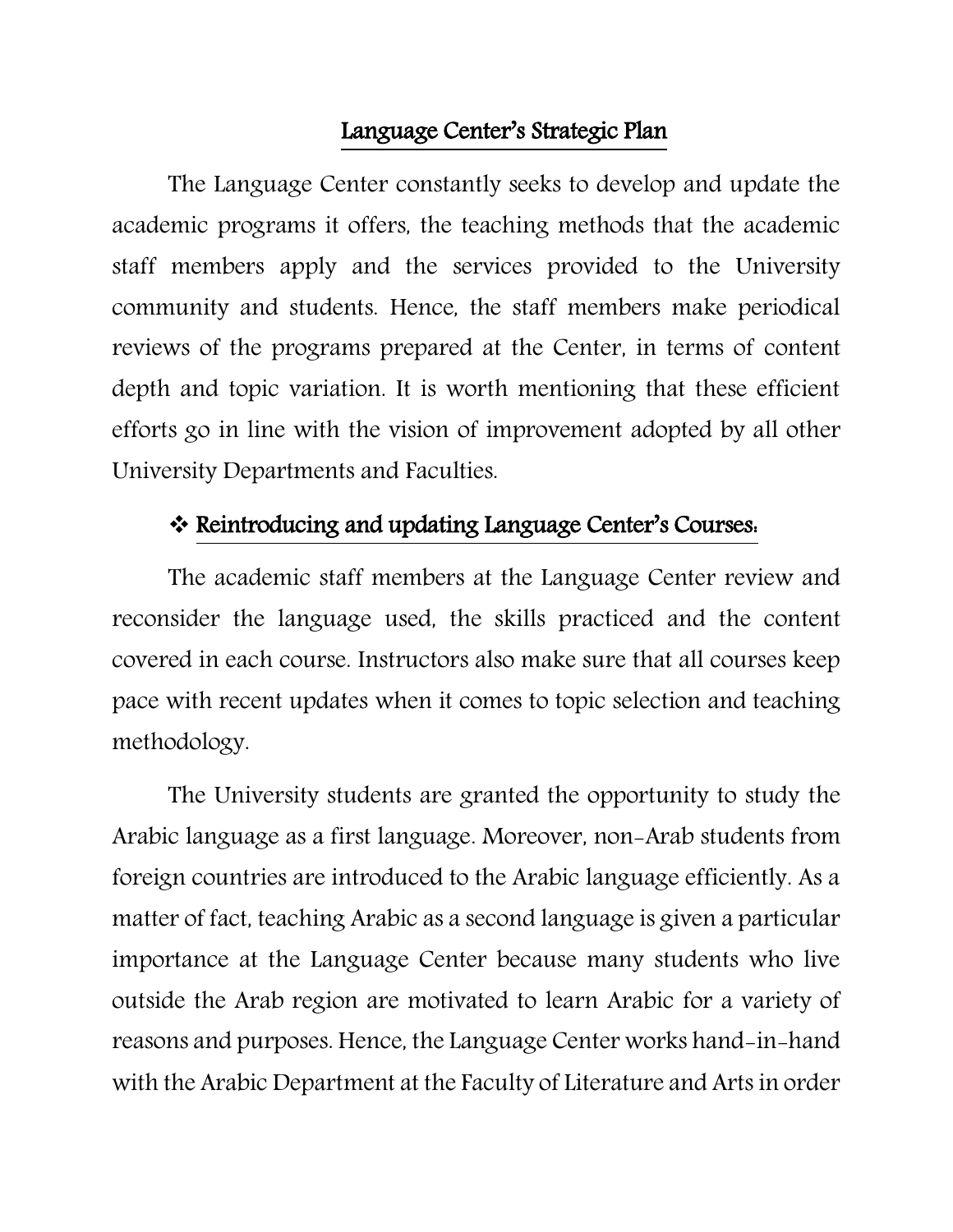### Language Center's Strategic Plan

The Language Center constantly seeks to develop and update the academic programs it offers, the teaching methods that the academic staff members apply and the services provided to the University community and students. Hence, the staff members make periodical reviews of the programs prepared at the Center, in terms of content depth and topic variation. It is worth mentioning that these efficient efforts go in line with the vision of improvement adopted by all other University Departments and Faculties.

### Reintroducing and updating Language Center's Courses:

The academic staff members at the Language Center review and reconsider the language used, the skills practiced and the content covered in each course. Instructors also make sure that all courses keep pace with recent updates when it comes to topic selection and teaching methodology.

The University students are granted the opportunity to study the Arabic language as a first language. Moreover, non-Arab students from foreign countries are introduced to the Arabic language efficiently. As a matter of fact, teaching Arabic as a second language is given a particular importance at the Language Center because many students who live outside the Arab region are motivated to learn Arabic for a variety of reasons and purposes. Hence, the Language Center works hand-in-hand with the Arabic Department at the Faculty of Literature and Arts in order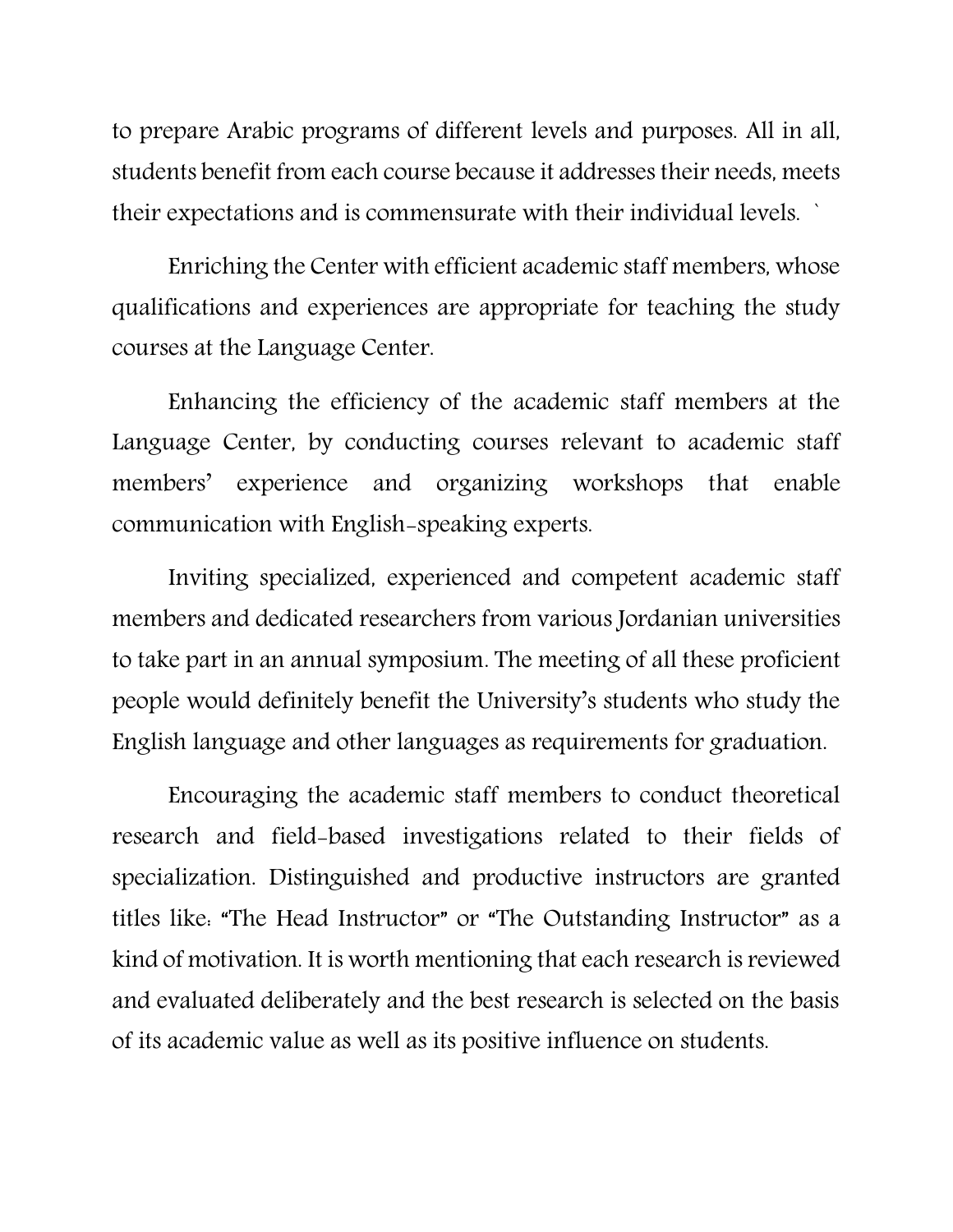to prepare Arabic programs of different levels and purposes. All in all, students benefit from each course because it addresses their needs, meets their expectations and is commensurate with their individual levels. `

Enriching the Center with efficient academic staff members, whose qualifications and experiences are appropriate for teaching the study courses at the Language Center.

Enhancing the efficiency of the academic staff members at the Language Center, by conducting courses relevant to academic staff members' experience and organizing workshops that enable communication with English-speaking experts.

Inviting specialized, experienced and competent academic staff members and dedicated researchers from various Jordanian universities to take part in an annual symposium. The meeting of all these proficient people would definitely benefit the University's students who study the English language and other languages as requirements for graduation.

Encouraging the academic staff members to conduct theoretical research and field-based investigations related to their fields of specialization. Distinguished and productive instructors are granted titles like: "The Head Instructor" or "The Outstanding Instructor" as a kind of motivation. It is worth mentioning that each research is reviewed and evaluated deliberately and the best research is selected on the basis of its academic value as well as its positive influence on students.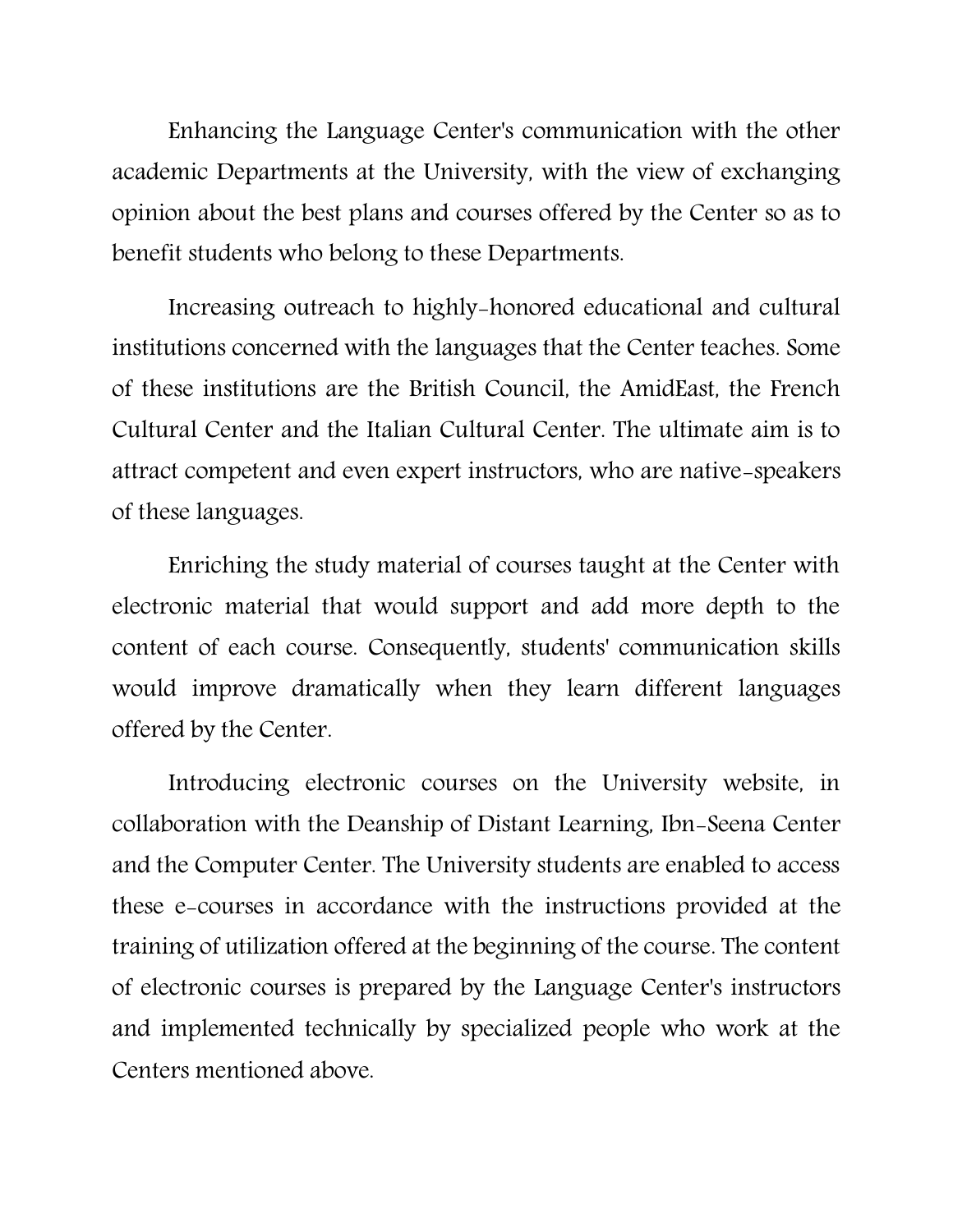Enhancing the Language Center's communication with the other academic Departments at the University, with the view of exchanging opinion about the best plans and courses offered by the Center so as to benefit students who belong to these Departments.

Increasing outreach to highly-honored educational and cultural institutions concerned with the languages that the Center teaches. Some of these institutions are the British Council, the AmidEast, the French Cultural Center and the Italian Cultural Center. The ultimate aim is to attract competent and even expert instructors, who are native-speakers of these languages.

Enriching the study material of courses taught at the Center with electronic material that would support and add more depth to the content of each course. Consequently, students' communication skills would improve dramatically when they learn different languages offered by the Center.

Introducing electronic courses on the University website, in collaboration with the Deanship of Distant Learning, Ibn-Seena Center and the Computer Center. The University students are enabled to access these e-courses in accordance with the instructions provided at the training of utilization offered at the beginning of the course. The content of electronic courses is prepared by the Language Center's instructors and implemented technically by specialized people who work at the Centers mentioned above.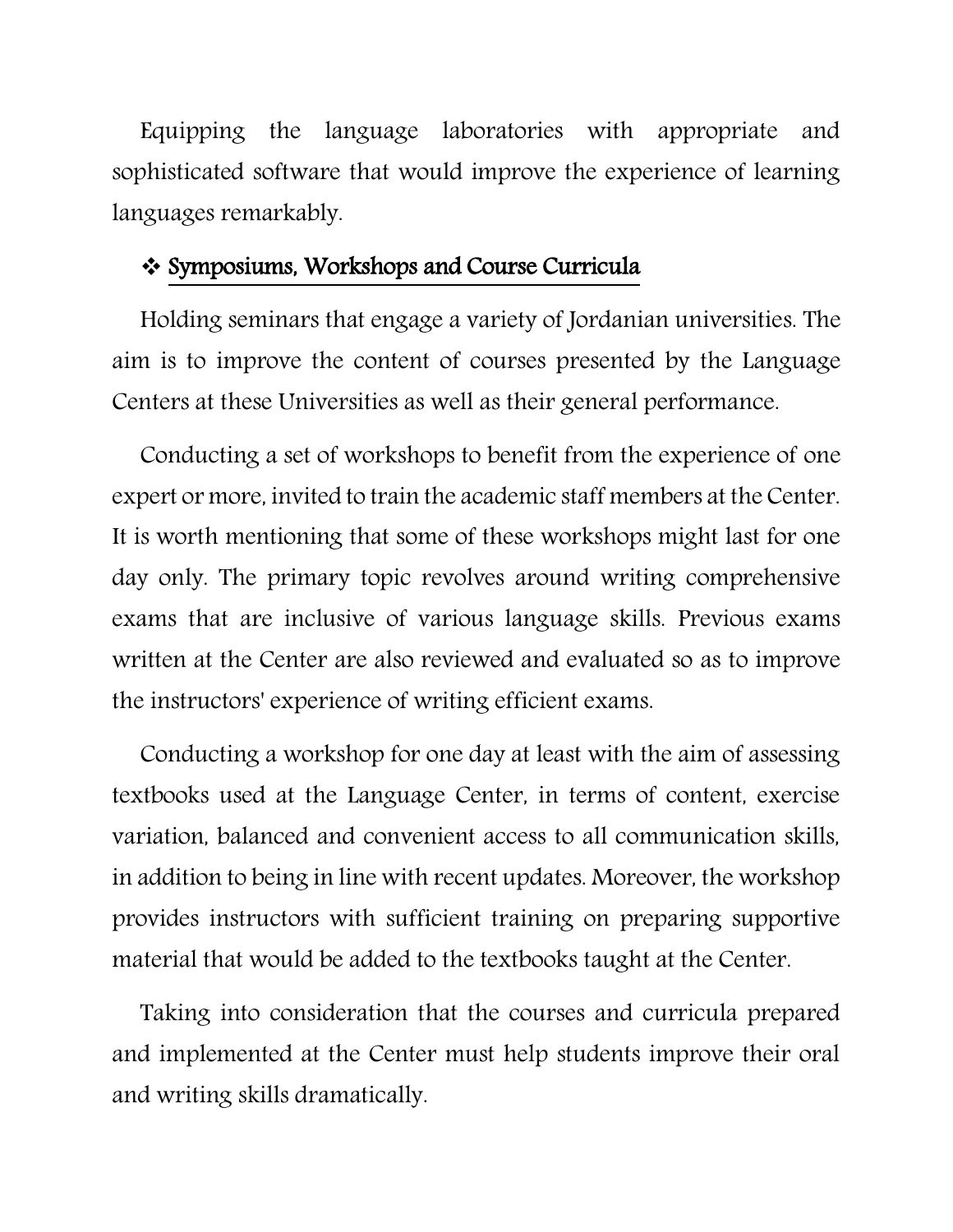Equipping the language laboratories with appropriate and sophisticated software that would improve the experience of learning languages remarkably.

### Symposiums, Workshops and Course Curricula

Holding seminars that engage a variety of Jordanian universities. The aim is to improve the content of courses presented by the Language Centers at these Universities as well as their general performance.

Conducting a set of workshops to benefit from the experience of one expert or more, invited to train the academic staff members at the Center. It is worth mentioning that some of these workshops might last for one day only. The primary topic revolves around writing comprehensive exams that are inclusive of various language skills. Previous exams written at the Center are also reviewed and evaluated so as to improve the instructors' experience of writing efficient exams.

Conducting a workshop for one day at least with the aim of assessing textbooks used at the Language Center, in terms of content, exercise variation, balanced and convenient access to all communication skills, in addition to being in line with recent updates. Moreover, the workshop provides instructors with sufficient training on preparing supportive material that would be added to the textbooks taught at the Center.

Taking into consideration that the courses and curricula prepared and implemented at the Center must help students improve their oral and writing skills dramatically.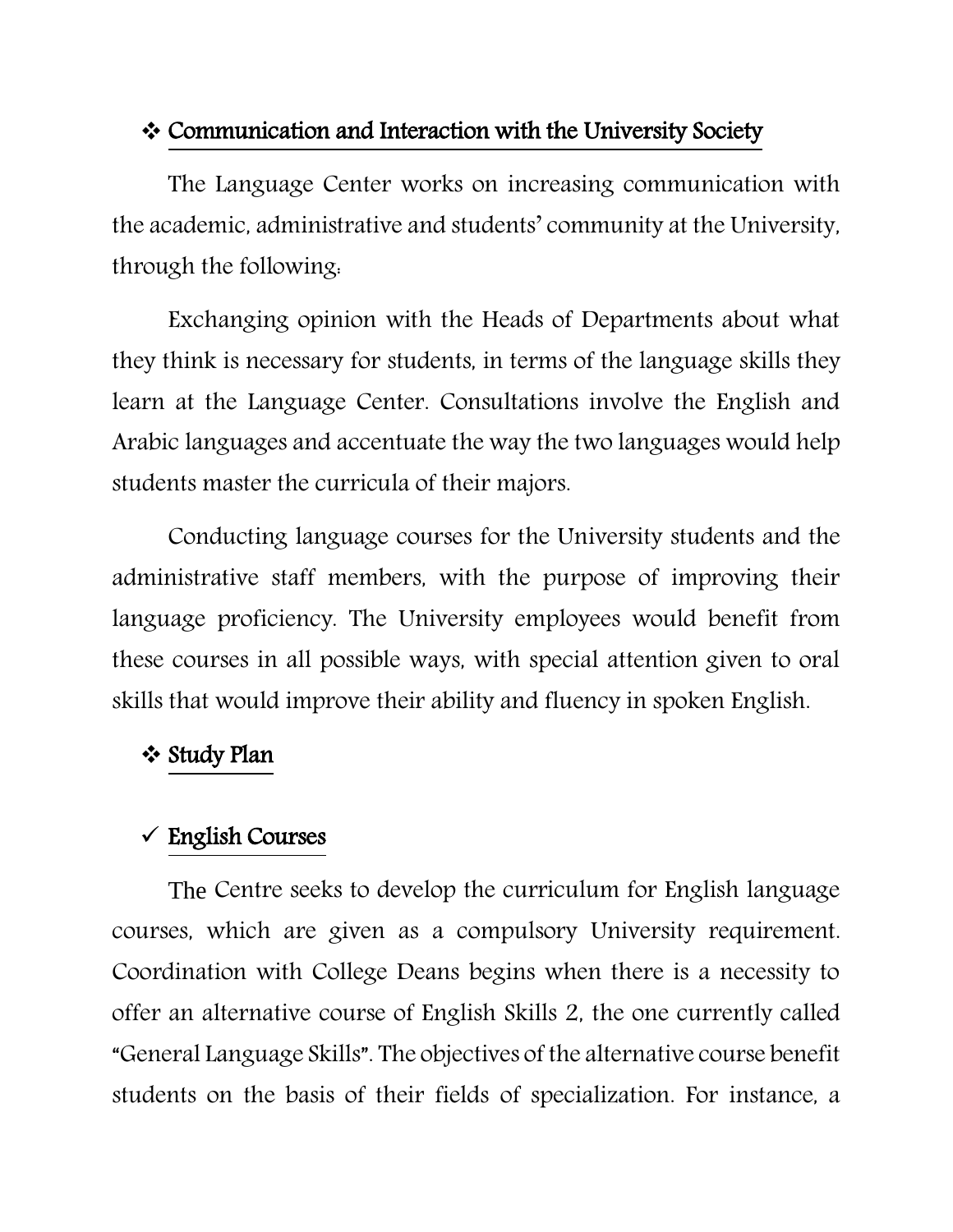## Communication and Interaction with the University Society

The Language Center works on increasing communication with the academic, administrative and students' community at the University, through the following:

Exchanging opinion with the Heads of Departments about what they think is necessary for students, in terms of the language skills they learn at the Language Center. Consultations involve the English and Arabic languages and accentuate the way the two languages would help students master the curricula of their majors.

Conducting language courses for the University students and the administrative staff members, with the purpose of improving their language proficiency. The University employees would benefit from these courses in all possible ways, with special attention given to oral skills that would improve their ability and fluency in spoken English.

## **❖ Study Plan**

# $\checkmark$  English Courses

The Centre seeks to develop the curriculum for English language courses, which are given as a compulsory University requirement. Coordination with College Deans begins when there is a necessity to offer an alternative course of English Skills 2, the one currently called "General Language Skills". The objectives of the alternative course benefit students on the basis of their fields of specialization. For instance, a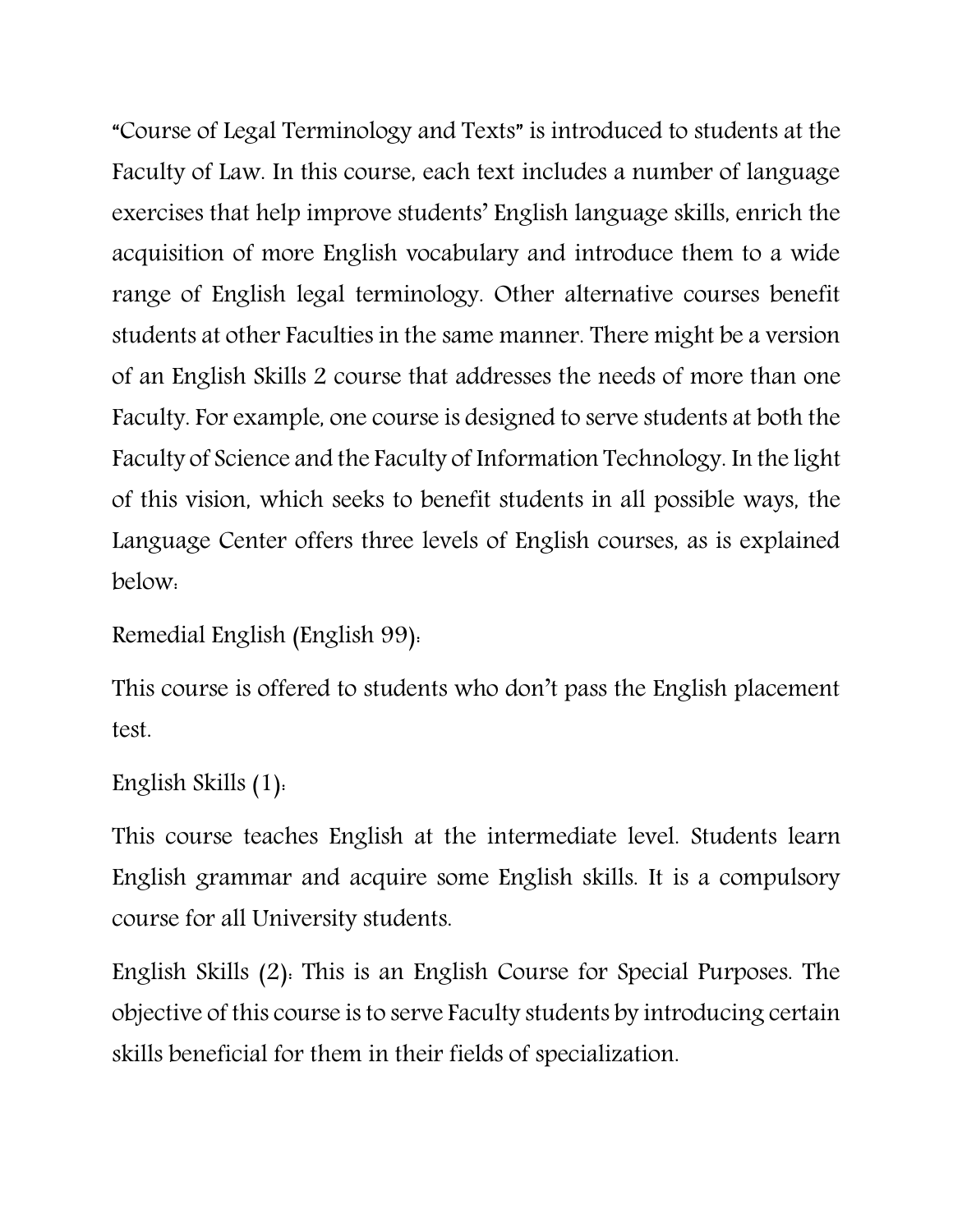"Course of Legal Terminology and Texts" is introduced to students at the Faculty of Law. In this course, each text includes a number of language exercises that help improve students' English language skills, enrich the acquisition of more English vocabulary and introduce them to a wide range of English legal terminology. Other alternative courses benefit students at other Faculties in the same manner. There might be a version of an English Skills 2 course that addresses the needs of more than one Faculty. For example, one course is designed to serve students at both the Faculty of Science and the Faculty of Information Technology. In the light of this vision, which seeks to benefit students in all possible ways, the Language Center offers three levels of English courses, as is explained below:

```
Remedial English (English 99):
```
This course is offered to students who don't pass the English placement test.

```
English Skills (1):
```
This course teaches English at the intermediate level. Students learn English grammar and acquire some English skills. It is a compulsory course for all University students.

English Skills (2): This is an English Course for Special Purposes. The objective of this course is to serve Faculty students by introducing certain skills beneficial for them in their fields of specialization.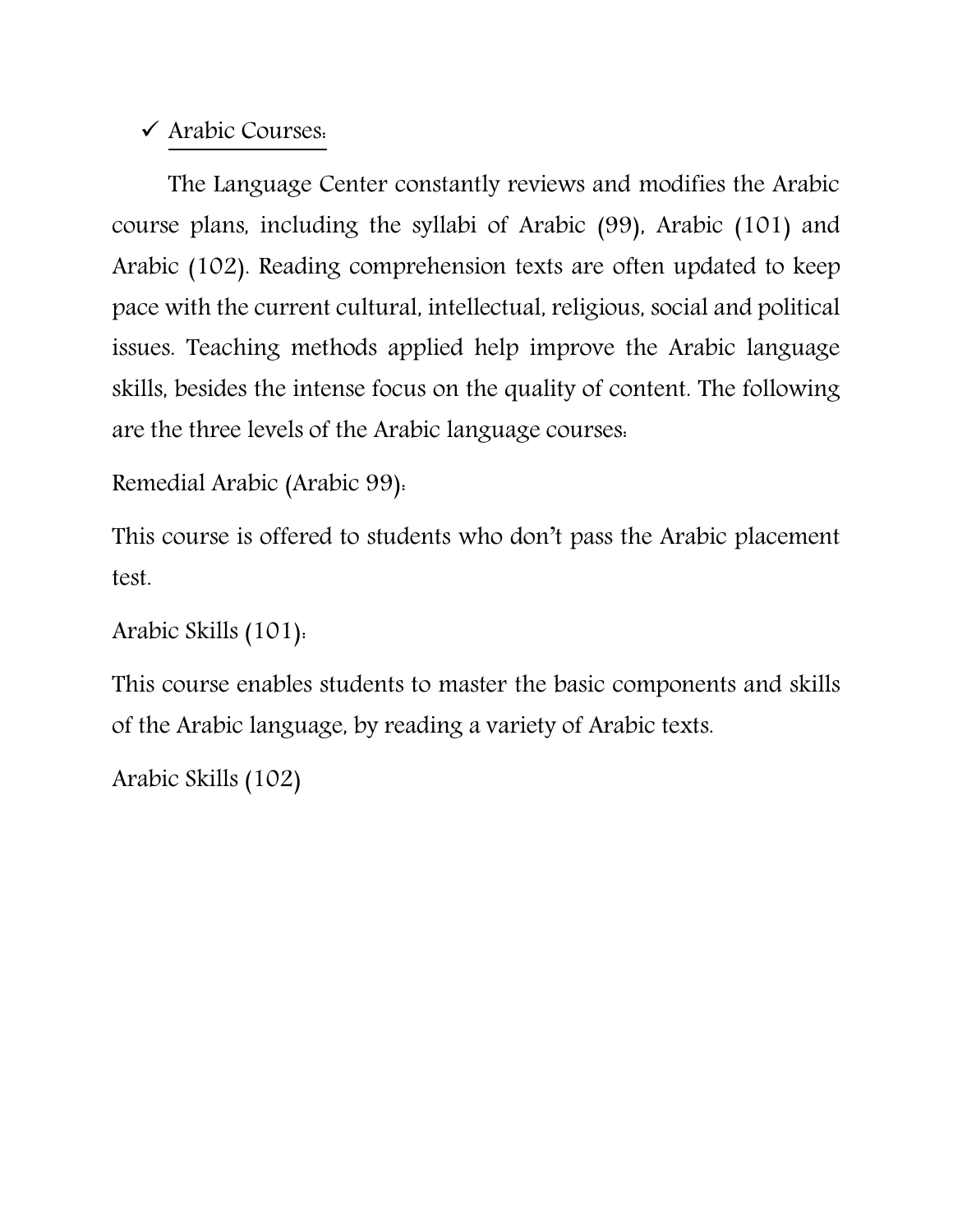# Arabic Courses:

The Language Center constantly reviews and modifies the Arabic course plans, including the syllabi of Arabic (99), Arabic (101) and Arabic (102). Reading comprehension texts are often updated to keep pace with the current cultural, intellectual, religious, social and political issues. Teaching methods applied help improve the Arabic language skills, besides the intense focus on the quality of content. The following are the three levels of the Arabic language courses:

```
Remedial Arabic (Arabic 99):
```
This course is offered to students who don't pass the Arabic placement test.

```
Arabic Skills (101):
```
This course enables students to master the basic components and skills of the Arabic language, by reading a variety of Arabic texts.

Arabic Skills (102)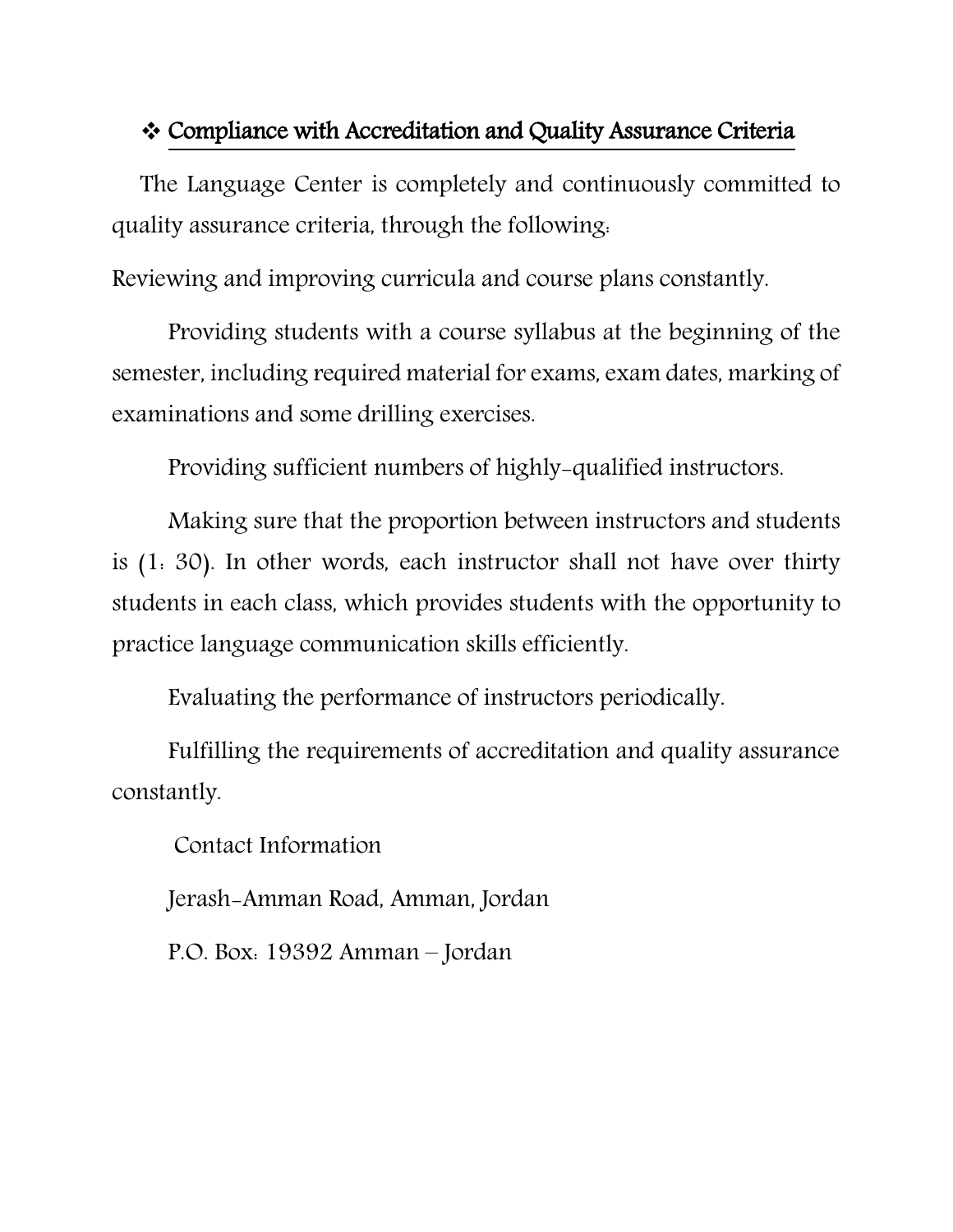## Compliance with Accreditation and Quality Assurance Criteria

The Language Center is completely and continuously committed to quality assurance criteria, through the following:

Reviewing and improving curricula and course plans constantly.

Providing students with a course syllabus at the beginning of the semester, including required material for exams, exam dates, marking of examinations and some drilling exercises.

Providing sufficient numbers of highly-qualified instructors.

Making sure that the proportion between instructors and students is (1: 30). In other words, each instructor shall not have over thirty students in each class, which provides students with the opportunity to practice language communication skills efficiently.

Evaluating the performance of instructors periodically.

Fulfilling the requirements of accreditation and quality assurance constantly.

Contact Information

Jerash-Amman Road, Amman, Jordan

P.O. Box: 19392 Amman – Jordan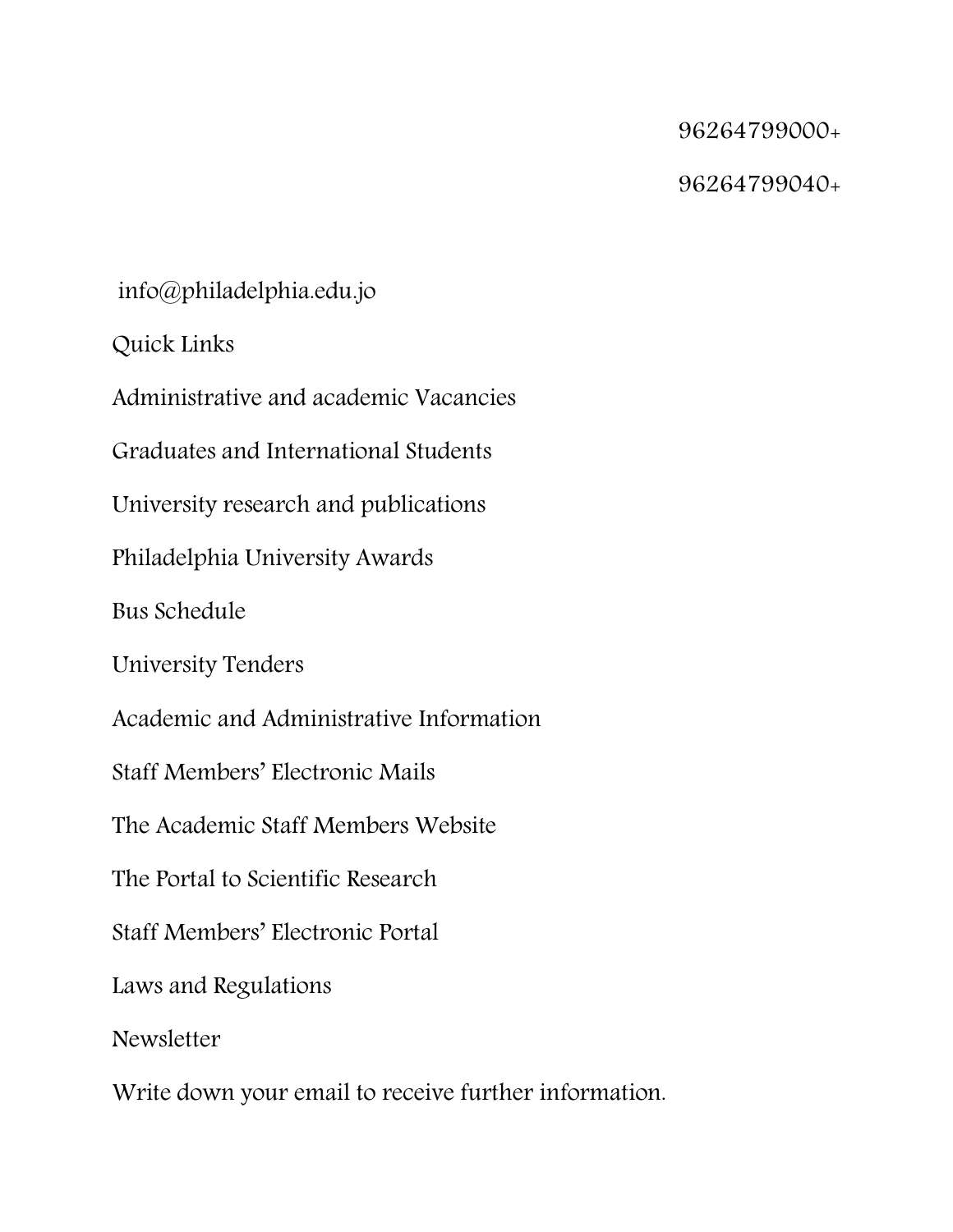### 96264799000+

### 96264799040+

info@philadelphia.edu.jo

Quick Links

Administrative and academic Vacancies

Graduates and International Students

University research and publications

Philadelphia University Awards

Bus Schedule

University Tenders

Academic and Administrative Information

Staff Members' Electronic Mails

The Academic Staff Members Website

The Portal to Scientific Research

Staff Members' Electronic Portal

Laws and Regulations

**Newsletter** 

Write down your email to receive further information.